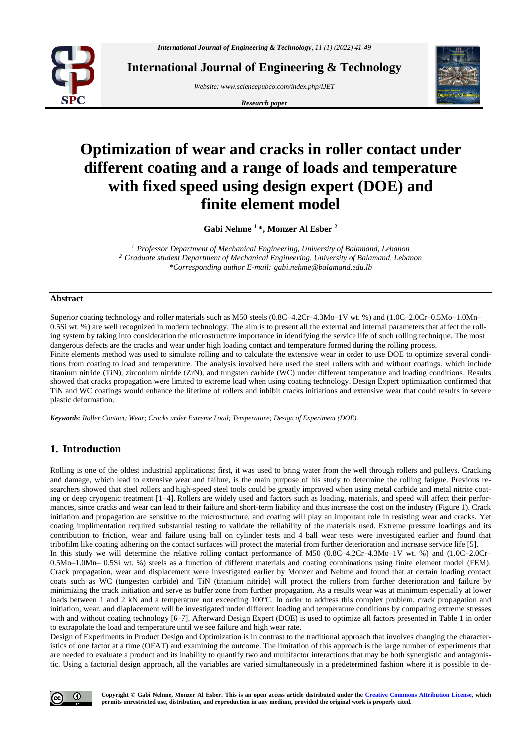

**International Journal of Engineering & Technology**

*Website: www.sciencepubco.com/index.php/IJET* 

*Research paper*



# **Optimization of wear and cracks in roller contact under different coating and a range of loads and temperature with fixed speed using design expert (DOE) and finite element model**

**Gabi Nehme <sup>1</sup> \*, Monzer Al Esber <sup>2</sup>**

*<sup>1</sup> Professor Department of Mechanical Engineering, University of Balamand, Lebanon <sup>2</sup> Graduate student Department of Mechanical Engineering, University of Balamand, Lebanon \*Corresponding author E-mail: gabi.nehme@balamand.edu.lb*

## **Abstract**

Superior coating technology and roller materials such as M50 steels (0.8C–4.2Cr–4.3Mo–1V wt. %) and (1.0C–2.0Cr–0.5Mo–1.0Mn– 0.5Si wt. %) are well recognized in modern technology. The aim is to present all the external and internal parameters that affect the rolling system by taking into consideration the microstructure importance in identifying the service life of such rolling technique. The most dangerous defects are the cracks and wear under high loading contact and temperature formed during the rolling process.

Finite elements method was used to simulate rolling and to calculate the extensive wear in order to use DOE to optimize several conditions from coating to load and temperature. The analysis involved here used the steel rollers with and without coatings, which include titanium nitride (TiN), zirconium nitride (ZrN), and tungsten carbide (WC) under different temperature and loading conditions. Results showed that cracks propagation were limited to extreme load when using coating technology. Design Expert optimization confirmed that TiN and WC coatings would enhance the lifetime of rollers and inhibit cracks initiations and extensive wear that could results in severe plastic deformation.

*Keywords*: *Roller Contact; Wear; Cracks under Extreme Load; Temperature; Design of Experiment (DOE).*

# **1. Introduction**

Rolling is one of the oldest industrial applications; first, it was used to bring water from the well through rollers and pulleys. Cracking and damage, which lead to extensive wear and failure, is the main purpose of his study to determine the rolling fatigue. Previous researchers showed that steel rollers and high-speed steel tools could be greatly improved when using metal carbide and metal nitrite coating or deep cryogenic treatment [1–4]. Rollers are widely used and factors such as loading, materials, and speed will affect their performances, since cracks and wear can lead to their failure and short-term liability and thus increase the cost on the industry (Figure 1). Crack initiation and propagation are sensitive to the microstructure, and coating will play an important role in resisting wear and cracks. Yet coating implimentation required substantial testing to validate the reliability of the materials used. Extreme pressure loadings and its contribution to friction, wear and failure using ball on cylinder tests and 4 ball wear tests were investigated earlier and found that tribofilm like coating adhering on the contact surfaces will protect the material from further deterioration and increase service life [5]. In this study we will determine the relative rolling contact performance of M50 (0.8C–4.2Cr–4.3Mo–1V wt. %) and (1.0C–2.0Cr– 0.5Mo–1.0Mn– 0.5Si wt. %) steels as a function of different materials and coating combinations using finite element model (FEM). Crack propagation, wear and displacement were investigated earlier by Monzer and Nehme and found that at certain loading contact coats such as WC (tungesten carbide) and TiN (titanium nitride) will protect the rollers from further deterioration and failure by minimizing the crack initiation and serve as buffer zone from further propagation. As a results wear was at minimum especially at lower loads between 1 and 2 kN and a temperature not exceeding 100°C. In order to address this complex problem, crack propagation and initiation, wear, and diaplacement will be investigated under different loading and temperature conditions by comparing extreme stresses with and without coating technology [6–7]. Afterward Design Expert (DOE) is used to optimize all factors presented in Table 1 in order to extrapolate the load and temperature until we see failure and high wear rate.

Design of Experiments in Product Design and Optimization is in contrast to the traditional approach that involves changing the characteristics of one factor at a time (OFAT) and examining the outcome. The limitation of this approach is the large number of experiments that are needed to evaluate a product and its inability to quantify two and multifactor interactions that may be both synergistic and antagonistic. Using a factorial design approach, all the variables are varied simultaneously in a predetermined fashion where it is possible to de-

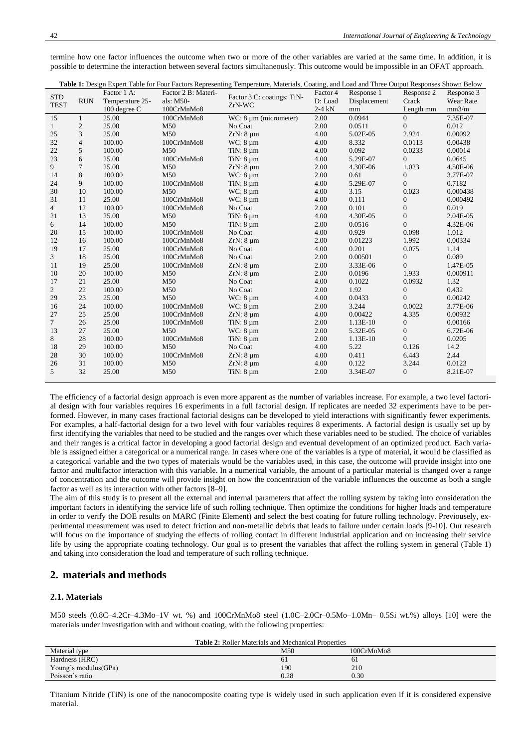termine how one factor influences the outcome when two or more of the other variables are varied at the same time. In addition, it is possible to determine the interaction between several factors simultaneously. This outcome would be impossible in an OFAT approach.

| Table 1: Design Expert Table for Four Factors Representing Temperature, Materials, Coating, and Load and Three Output Responses Shown Below |                |                 |                     |                            |          |              |                  |            |
|---------------------------------------------------------------------------------------------------------------------------------------------|----------------|-----------------|---------------------|----------------------------|----------|--------------|------------------|------------|
| <b>STD</b>                                                                                                                                  |                | Factor 1 A:     | Factor 2 B: Materi- | Factor 3 C: coatings: TiN- | Factor 4 | Response 1   | Response 2       | Response 3 |
| <b>TEST</b>                                                                                                                                 | <b>RUN</b>     | Temperature 25- | als: M50-           | ZrN-WC                     | D: Load  | Displacement | Crack            | Wear Rate  |
|                                                                                                                                             |                | 100 degree C    | 100CrMnMo8          |                            | $2-4$ kN | mm           | Length mm        | mm3/m      |
| 15                                                                                                                                          | 1              | 25.00           | 100CrMnMo8          | WC: $8 \mu m$ (micrometer) | 2.00     | 0.0944       | $\overline{0}$   | 7.35E-07   |
| $\mathbf{1}$                                                                                                                                | 2              | 25.00           | M50                 | No Coat                    | 2.00     | 0.0511       | $\mathbf{0}$     | 0.012      |
| 25                                                                                                                                          | 3              | 25.00           | M <sub>50</sub>     | $ZrN: 8 \mu m$             | 4.00     | 5.02E-05     | 2.924            | 0.00092    |
| 32                                                                                                                                          | $\overline{4}$ | 100.00          | 100CrMnMo8          | $WC: 8 \mu m$              | 4.00     | 8.332        | 0.0113           | 0.00438    |
| 22                                                                                                                                          | 5              | 100.00          | M50                 | $TiN: 8 \mu m$             | 4.00     | 0.092        | 0.0233           | 0.00014    |
| 23                                                                                                                                          | 6              | 25.00           | 100CrMnMo8          | TiN: $8 \mu m$             | 4.00     | 5.29E-07     | $\overline{0}$   | 0.0645     |
| 9                                                                                                                                           | $\overline{7}$ | 25.00           | M50                 | $ZrN: 8 \mu m$             | 2.00     | 4.30E-06     | 1.023            | 4.50E-06   |
| 14                                                                                                                                          | 8              | 100.00          | M50                 | $WC: 8 \mu m$              | 2.00     | 0.61         | $\overline{0}$   | 3.77E-07   |
| 24                                                                                                                                          | 9              | 100.00          | 100CrMnMo8          | TiN: $8 \mu m$             | 4.00     | 5.29E-07     | $\overline{0}$   | 0.7182     |
| 30                                                                                                                                          | 10             | 100.00          | M <sub>50</sub>     | $WC: 8 \mu m$              | 4.00     | 3.15         | 0.023            | 0.000438   |
| 31                                                                                                                                          | 11             | 25.00           | 100CrMnMo8          | $WC: 8 \mu m$              | 4.00     | 0.111        | $\mathbf{0}$     | 0.000492   |
| $\overline{4}$                                                                                                                              | 12             | 100.00          | 100CrMnMo8          | No Coat                    | 2.00     | 0.101        | $\boldsymbol{0}$ | 0.019      |
| 21                                                                                                                                          | 13             | 25.00           | M50                 | TiN: $8 \mu m$             | 4.00     | 4.30E-05     | $\overline{0}$   | 2.04E-05   |
| 6                                                                                                                                           | 14             | 100.00          | M <sub>50</sub>     | TiN: $8 \mu m$             | 2.00     | 0.0516       | $\Omega$         | 4.32E-06   |
| 20                                                                                                                                          | 15             | 100.00          | 100CrMnMo8          | No Coat                    | 4.00     | 0.929        | 0.098            | 1.012      |
| 12                                                                                                                                          | 16             | 100.00          | 100CrMnMo8          | $ZrN: 8 \mu m$             | 2.00     | 0.01223      | 1.992            | 0.00334    |
| 19                                                                                                                                          | 17             | 25.00           | 100CrMnMo8          | No Coat                    | 4.00     | 0.201        | 0.075            | 1.14       |
| 3                                                                                                                                           | 18             | 25.00           | 100CrMnMo8          | No Coat                    | 2.00     | 0.00501      | $\boldsymbol{0}$ | 0.089      |
| 11                                                                                                                                          | 19             | 25.00           | 100CrMnMo8          | $ZrN: 8 \mu m$             | 2.00     | 3.33E-06     | $\overline{0}$   | 1.47E-05   |
| 10                                                                                                                                          | 20             | 100.00          | M50                 | $ZrN: 8 \mu m$             | 2.00     | 0.0196       | 1.933            | 0.000911   |
| 17                                                                                                                                          | 21             | 25.00           | M50                 | No Coat                    | 4.00     | 0.1022       | 0.0932           | 1.32       |
| $\overline{2}$                                                                                                                              | 22             | 100.00          | M50                 | No Coat                    | 2.00     | 1.92         | $\boldsymbol{0}$ | 0.432      |
| 29                                                                                                                                          | 23             | 25.00           | M <sub>50</sub>     | $WC: 8 \mu m$              | 4.00     | 0.0433       | $\theta$         | 0.00242    |
| 16                                                                                                                                          | 24             | 100.00          | 100CrMnMo8          | $WC: 8 \mu m$              | 2.00     | 3.244        | 0.0022           | 3.77E-06   |
| 27                                                                                                                                          | 25             | 25.00           | 100CrMnMo8          | $ZrN: 8 \mu m$             | 4.00     | 0.00422      | 4.335            | 0.00932    |
| $\tau$                                                                                                                                      | 26             | 25.00           | 100CrMnMo8          | TiN: 8 µm                  | 2.00     | 1.13E-10     | $\mathbf{0}$     | 0.00166    |
| 13                                                                                                                                          | 27             | 25.00           | M <sub>50</sub>     | $WC: 8 \mu m$              | 2.00     | 5.32E-05     | $\boldsymbol{0}$ | 6.72E-06   |
| 8                                                                                                                                           | 28             | 100.00          | 100CrMnMo8          | TiN: $8 \mu m$             | 2.00     | 1.13E-10     | $\overline{0}$   | 0.0205     |
| 18                                                                                                                                          | 29             | 100.00          | M <sub>50</sub>     | No Coat                    | 4.00     | 5.22         | 0.126            | 14.2       |
| 28                                                                                                                                          | 30             | 100.00          | 100CrMnMo8          | $ZrN: 8 \mu m$             | 4.00     | 0.411        | 6.443            | 2.44       |
| 26                                                                                                                                          | 31             | 100.00          | M <sub>50</sub>     | $ZrN: 8 \mu m$             | 4.00     | 0.122        | 3.244            | 0.0123     |
| 5                                                                                                                                           | 32             | 25.00           | M <sub>50</sub>     | TiN: $8 \mu m$             | 2.00     | 3.34E-07     | $\overline{0}$   | 8.21E-07   |
|                                                                                                                                             |                |                 |                     |                            |          |              |                  |            |

The efficiency of a factorial design approach is even more apparent as the number of variables increase. For example, a two level factorial design with four variables requires 16 experiments in a full factorial design. If replicates are needed 32 experiments have to be performed. However, in many cases fractional factorial designs can be developed to yield interactions with significantly fewer experiments. For examples, a half-factorial design for a two level with four variables requires 8 experiments. A factorial design is usually set up by first identifying the variables that need to be studied and the ranges over which these variables need to be studied. The choice of variables and their ranges is a critical factor in developing a good factorial design and eventual development of an optimized product. Each variable is assigned either a categorical or a numerical range. In cases where one of the variables is a type of material, it would be classified as a categorical variable and the two types of materials would be the variables used, in this case, the outcome will provide insight into one factor and multifactor interaction with this variable. In a numerical variable, the amount of a particular material is changed over a range of concentration and the outcome will provide insight on how the concentration of the variable influences the outcome as both a single factor as well as its interaction with other factors [8–9].

The aim of this study is to present all the external and internal parameters that affect the rolling system by taking into consideration the important factors in identifying the service life of such rolling technique. Then optimize the conditions for higher loads and temperature in order to verify the DOE results on MARC (Finite Element) and select the best coating for future rolling technology. Previousely, experimental measurement was used to detect friction and non-metallic debris that leads to failure under certain loads [9-10]. Our research will focus on the importance of studying the effects of rolling contact in different industrial application and on increasing their service life by using the appropriate coating technology. Our goal is to present the variables that affect the rolling system in general (Table 1) and taking into consideration the load and temperature of such rolling technique.

# **2. materials and methods**

## **2.1. Materials**

M50 steels (0.8C–4.2Cr–4.3Mo–1V wt. %) and 100CrMnMo8 steel (1.0C–2.0Cr–0.5Mo–1.0Mn– 0.5Si wt.%) alloys [10] were the materials under investigation with and without coating, with the following properties:

| <b>Table 2:</b> Roller Materials and Mechanical Properties |      |            |  |  |  |
|------------------------------------------------------------|------|------------|--|--|--|
| Material type                                              | M50  | 100CrMnMo8 |  |  |  |
| Hardness (HRC)                                             | 61   | 61         |  |  |  |
| Young's modulus(GPa)                                       | 190  | 210        |  |  |  |
| Poisson's ratio                                            | 0.28 | 0.30       |  |  |  |

Titanium Nitride (TiN) is one of the nanocomposite coating type is widely used in such application even if it is considered expensive material.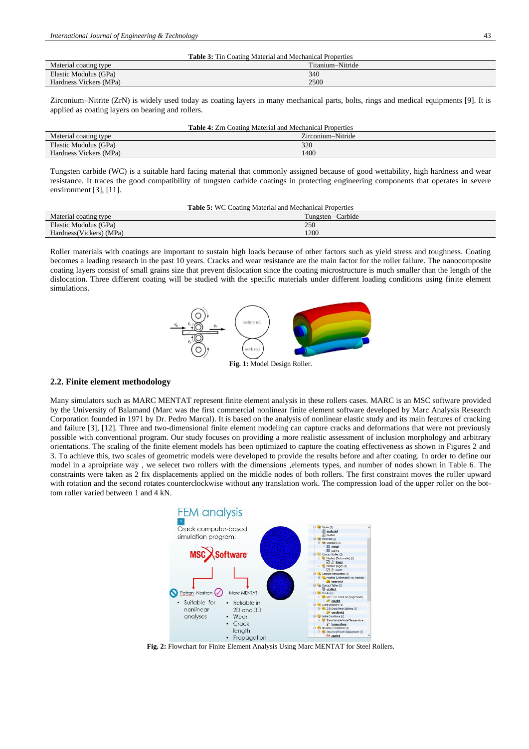| <b>Table 3:</b> Tin Coating Material and Mechanical Properties |                  |  |  |  |
|----------------------------------------------------------------|------------------|--|--|--|
| Material coating type                                          | Titanium-Nitride |  |  |  |
| Elastic Modulus (GPa)                                          | 340              |  |  |  |
| Hardness Vickers (MPa)                                         | 2500             |  |  |  |

Zirconium–Nitrite (ZrN) is widely used today as coating layers in many mechanical parts, bolts, rings and medical equipments [9]. It is applied as coating layers on bearing and rollers.

| <b>Table 4:</b> Zrn Coating Material and Mechanical Properties |                   |  |  |  |
|----------------------------------------------------------------|-------------------|--|--|--|
| Material coating type                                          | Zirconium–Nitride |  |  |  |
| Elastic Modulus (GPa)                                          | 320               |  |  |  |
| Hardness Vickers (MPa)                                         | 1400              |  |  |  |

Tungsten carbide (WC) is a suitable hard facing material that commonly assigned because of good wettability, high hardness and wear resistance. It traces the good compatibility of tungsten carbide coatings in protecting engineering components that operates in severe environment [3], [11].

| <b>Table 5: WC Coating Material and Mechanical Properties</b> |                    |  |  |  |
|---------------------------------------------------------------|--------------------|--|--|--|
| Material coating type                                         | Tungsten – Carbide |  |  |  |
| Elastic Modulus (GPa)                                         | 250                |  |  |  |
| Hardness (Vickers) (MPa)                                      | 1200               |  |  |  |

Roller materials with coatings are important to sustain high loads because of other factors such as yield stress and toughness. Coating becomes a leading research in the past 10 years. Cracks and wear resistance are the main factor for the roller failure. The nanocomposite coating layers consist of small grains size that prevent dislocation since the coating microstructure is much smaller than the length of the dislocation. Three different coating will be studied with the specific materials under different loading conditions using finite element simulations.



**Fig. 1:** Model Design Roller.

## **2.2. Finite element methodology**

Many simulators such as MARC MENTAT represent finite element analysis in these rollers cases. MARC is an MSC software provided by the University of Balamand (Marc was the first commercial nonlinear finite element software developed by Marc Analysis Research Corporation founded in 1971 by Dr. Pedro Marcal). It is based on the analysis of nonlinear elastic study and its main features of cracking and failure [3], [12]. Three and two-dimensional finite element modeling can capture cracks and deformations that were not previously possible with conventional program. Our study focuses on providing a more realistic assessment of inclusion morphology and arbitrary orientations. The scaling of the finite element models has been optimized to capture the coating effectiveness as shown in Figures 2 and 3. To achieve this, two scales of geometric models were developed to provide the results before and after coating. In order to define our model in a aproipriate way , we selecet two rollers with the dimensions ,elements types, and number of nodes shown in Table 6. The constraints were taken as 2 fix displacements applied on the middle nodes of both rollers. The first constraint moves the roller upward with rotation and the second rotates counterclockwise without any translation work. The compression load of the upper roller on the bottom roller varied between 1 and 4 kN.



**Fig. 2:** Flowchart for Finite Element Analysis Using Marc MENTAT for Steel Rollers.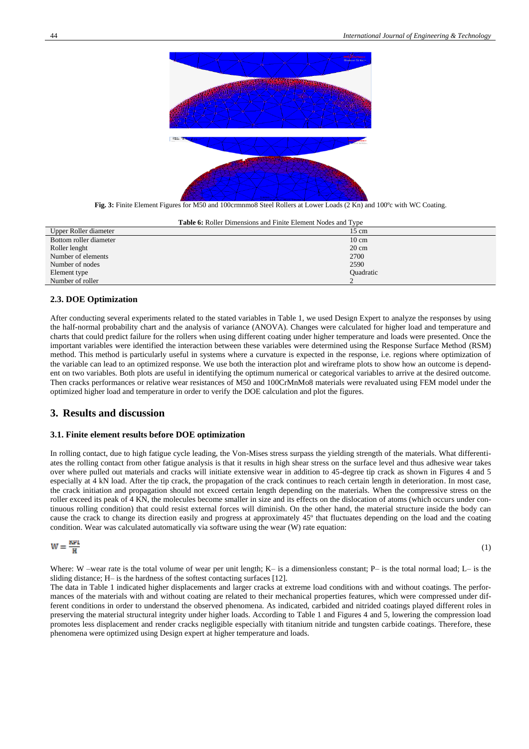

**Fig. 3:** Finite Element Figures for M50 and 100crmnmo8 Steel Rollers at Lower Loads (2 Kn) and 100ºc with WC Coating.

**Table 6:** Roller Dimensions and Finite Element Nodes and Type

| Upper Roller diameter  | $15 \text{ cm}$  |
|------------------------|------------------|
| Bottom roller diameter | $10 \text{ cm}$  |
| Roller lenght          | $20 \text{ cm}$  |
| Number of elements     | 2700             |
| Number of nodes        | 2590             |
| Element type           | <b>Ouadratic</b> |
| Number of roller       |                  |

#### **2.3. DOE Optimization**

After conducting several experiments related to the stated variables in Table 1, we used Design Expert to analyze the responses by using the half-normal probability chart and the analysis of variance (ANOVA). Changes were calculated for higher load and temperature and charts that could predict failure for the rollers when using different coating under higher temperature and loads were presented. Once the important variables were identified the interaction between these variables were determined using the Response Surface Method (RSM) method. This method is particularly useful in systems where a curvature is expected in the response, i.e. regions where optimization of the variable can lead to an optimized response. We use both the interaction plot and wireframe plots to show how an outcome is dependent on two variables. Both plots are useful in identifying the optimum numerical or categorical variables to arrive at the desired outcome. Then cracks performances or relative wear resistances of M50 and 100CrMnMo8 materials were revaluated using FEM model under the optimized higher load and temperature in order to verify the DOE calculation and plot the figures.

## **3. Results and discussion**

#### **3.1. Finite element results before DOE optimization**

In rolling contact, due to high fatigue cycle leading, the Von-Mises stress surpass the yielding strength of the materials. What differentiates the rolling contact from other fatigue analysis is that it results in high shear stress on the surface level and thus adhesive wear takes over where pulled out materials and cracks will initiate extensive wear in addition to 45-degree tip crack as shown in Figures 4 and 5 especially at 4 kN load. After the tip crack, the propagation of the crack continues to reach certain length in deterioration. In most case, the crack initiation and propagation should not exceed certain length depending on the materials. When the compressive stress on the roller exceed its peak of 4 KN, the molecules become smaller in size and its effects on the dislocation of atoms (which occurs under continuous rolling condition) that could resist external forces will diminish. On the other hand, the material structure inside the body can cause the crack to change its direction easily and progress at approximately 45º that fluctuates depending on the load and the coating condition. Wear was calculated automatically via software using the wear (W) rate equation:

$$
W = \frac{KPL}{H}
$$
 (1)

Where: W –wear rate is the total volume of wear per unit length; K– is a dimensionless constant; P– is the total normal load; L– is the sliding distance; H– is the [hardness](https://en.wikipedia.org/wiki/Hardness) of the softest contacting surfaces [12].

The data in Table 1 indicated higher displacements and larger cracks at extreme load conditions with and without coatings. The performances of the materials with and without coating are related to their mechanical properties features, which were compressed under different conditions in order to understand the observed phenomena. As indicated, carbided and nitrided coatings played different roles in preserving the material structural integrity under higher loads. According to Table 1 and Figures 4 and 5, lowering the compression load promotes less displacement and render cracks negligible especially with titanium nitride and tungsten carbide coatings. Therefore, these phenomena were optimized using Design expert at higher temperature and loads.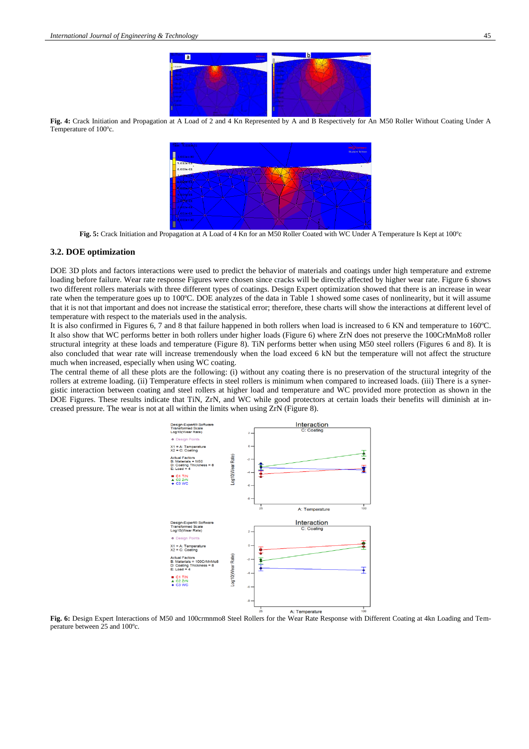

**Fig. 4:** Crack Initiation and Propagation at A Load of 2 and 4 Kn Represented by A and B Respectively for An M50 Roller Without Coating Under A Temperature of 100ºc.



**Fig. 5:** Crack Initiation and Propagation at A Load of 4 Kn for an M50 Roller Coated with WC Under A Temperature Is Kept at 100ºc

#### **3.2. DOE optimization**

DOE 3D plots and factors interactions were used to predict the behavior of materials and coatings under high temperature and extreme loading before failure. Wear rate response Figures were chosen since cracks will be directly affected by higher wear rate. Figure 6 shows two different rollers materials with three different types of coatings. Design Expert optimization showed that there is an increase in wear rate when the temperature goes up to 100ºC. DOE analyzes of the data in Table 1 showed some cases of nonlinearity, but it will assume that it is not that important and does not increase the statistical error; therefore, these charts will show the interactions at different level of temperature with respect to the materials used in the analysis.

It is also confirmed in Figures 6, 7 and 8 that failure happened in both rollers when load is increased to 6 KN and temperature to 160ºC. It also show that WC performs better in both rollers under higher loads (Figure 6) where ZrN does not preserve the 100CrMnMo8 roller structural integrity at these loads and temperature (Figure 8). TiN performs better when using M50 steel rollers (Figures 6 and 8). It is also concluded that wear rate will increase tremendously when the load exceed 6 kN but the temperature will not affect the structure much when increased, especially when using WC coating.

The central theme of all these plots are the following: (i) without any coating there is no preservation of the structural integrity of the rollers at extreme loading. (ii) Temperature effects in steel rollers is minimum when compared to increased loads. (iii) There is a synergistic interaction between coating and steel rollers at higher load and temperature and WC provided more protection as shown in the DOE Figures. These results indicate that TiN, ZrN, and WC while good protectors at certain loads their benefits will diminish at increased pressure. The wear is not at all within the limits when using ZrN (Figure 8).



**Fig. 6:** Design Expert Interactions of M50 and 100crmnmo8 Steel Rollers for the Wear Rate Response with Different Coating at 4kn Loading and Temperature between 25 and 100ºc.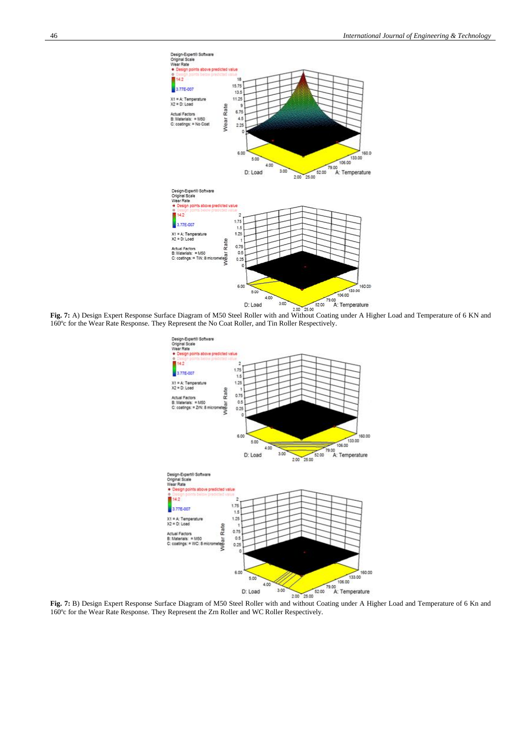

**Fig. 7:** A) Design Expert Response Surface Diagram of M50 Steel Roller with and Without Coating under A Higher Load and Temperature of 6 KN and 160ºc for the Wear Rate Response. They Represent the No Coat Roller, and Tin Roller Respectively.



160ºc for the Wear Rate Response. They Represent the Zrn Roller and WC Roller Respectively.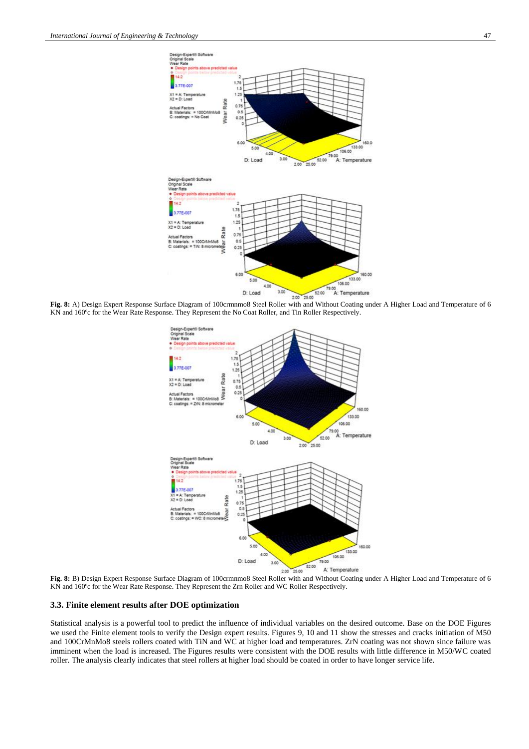

KN and 160ºc for the Wear Rate Response. They Represent the No Coat Roller, and Tin Roller Respectively.



**Fig. 8:** B) Design Expert Response Surface Diagram of 100crmnmo8 Steel Roller with and Without Coating under A Higher Load and Temperature of 6 KN and 160ºc for the Wear Rate Response. They Represent the Zrn Roller and WC Roller Respectively.

#### **3.3. Finite element results after DOE optimization**

Statistical analysis is a powerful tool to predict the influence of individual variables on the desired outcome. Base on the DOE Figures we used the Finite element tools to verify the Design expert results. Figures 9, 10 and 11 show the stresses and cracks initiation of M50 and 100CrMnMo8 steels rollers coated with TiN and WC at higher load and temperatures. ZrN coating was not shown since failure was imminent when the load is increased. The Figures results were consistent with the DOE results with little difference in M50/WC coated roller. The analysis clearly indicates that steel rollers at higher load should be coated in order to have longer service life.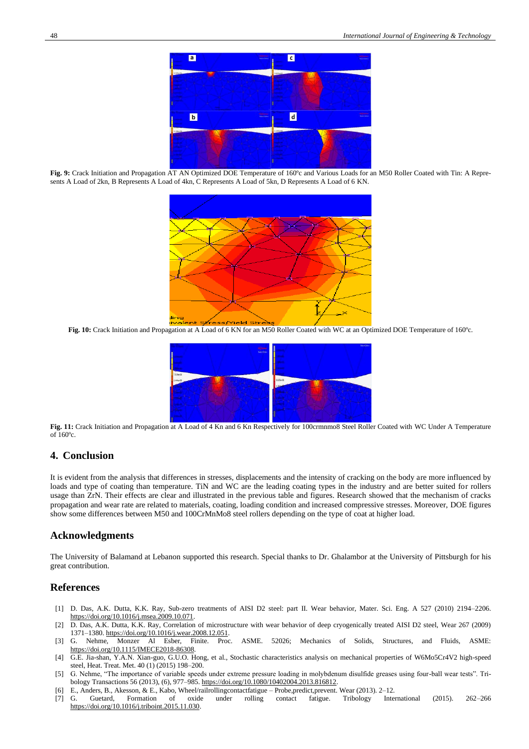

**Fig. 9:** Crack Initiation and Propagation AT AN Optimized DOE Temperature of 160ºc and Various Loads for an M50 Roller Coated with Tin: A Represents A Load of 2kn, B Represents A Load of 4kn, C Represents A Load of 5kn, D Represents A Load of 6 KN.



**Fig. 10:** Crack Initiation and Propagation at A Load of 6 KN for an M50 Roller Coated with WC at an Optimized DOE Temperature of 160°c.



**Fig. 11:** Crack Initiation and Propagation at A Load of 4 Kn and 6 Kn Respectively for 100crmnmo8 Steel Roller Coated with WC Under A Temperature of 160ºc.

# **4. Conclusion**

It is evident from the analysis that differences in stresses, displacements and the intensity of cracking on the body are more influenced by loads and type of coating than temperature. TiN and WC are the leading coating types in the industry and are better suited for rollers usage than ZrN. Their effects are clear and illustrated in the previous table and figures. Research showed that the mechanism of cracks propagation and wear rate are related to materials, coating, loading condition and increased compressive stresses. Moreover, DOE figures show some differences between M50 and 100CrMnMo8 steel rollers depending on the type of coat at higher load.

# **Acknowledgments**

The University of Balamand at Lebanon supported this research. Special thanks to Dr. Ghalambor at the University of Pittsburgh for his great contribution.

# **References**

- [1] D. Das, A.K. Dutta, K.K. Ray, Sub-zero treatments of AISI D2 steel: part II. Wear behavior, Mater. Sci. Eng. A 527 (2010) 2194–2206. [https://doi.org/10.1016/j.msea.2009.10.071.](https://doi.org/10.1016/j.msea.2009.10.071)
- [2] D. Das, A.K. Dutta, K.K. Ray, Correlation of microstructure with wear behavior of deep cryogenically treated AISI D2 steel, Wear 267 (2009) 1371–1380[. https://doi.org/10.1016/j.wear.2008.12.051.](https://doi.org/10.1016/j.wear.2008.12.051)
- [3] G. Nehme, Monzer Al Esber, Finite. Proc. ASME. 52026; Mechanics of Solids, Structures, and Fluids, ASME: [https://doi.org/10.1115/IMECE2018-86308.](https://doi.org/10.1115/IMECE2018-86308)
- [4] G.E. Jia-shan, Y.A.N. Xian-guo, G.U.O. Hong, et al., Stochastic characteristics analysis on mechanical properties of W6Mo5Cr4V2 high-speed steel, Heat. Treat. Met. 40 (1) (2015) 198–200.
- [5] G. Nehme, "The importance of variable speeds under extreme pressure loading in molybdenum disulfide greases using four-ball wear tests". Tribology Transactions 56 (2013), (6), 977–985[. https://doi.org/10.1080/10402004.2013.816812.](https://doi.org/10.1080/10402004.2013.816812)
- [6] E., Anders, B., Akesson, & E., Kabo, Wheel/railrollingcontactfatigue Probe,predict,prevent. Wear (2013). 2–12.
- [7] G. Guetard, Formation of oxide under rolling contact fatigue. Tribology International (2015). 262–266 [https://doi.org/10.1016/j.triboint.2015.11.030.](https://doi.org/10.1016/j.triboint.2015.11.030)